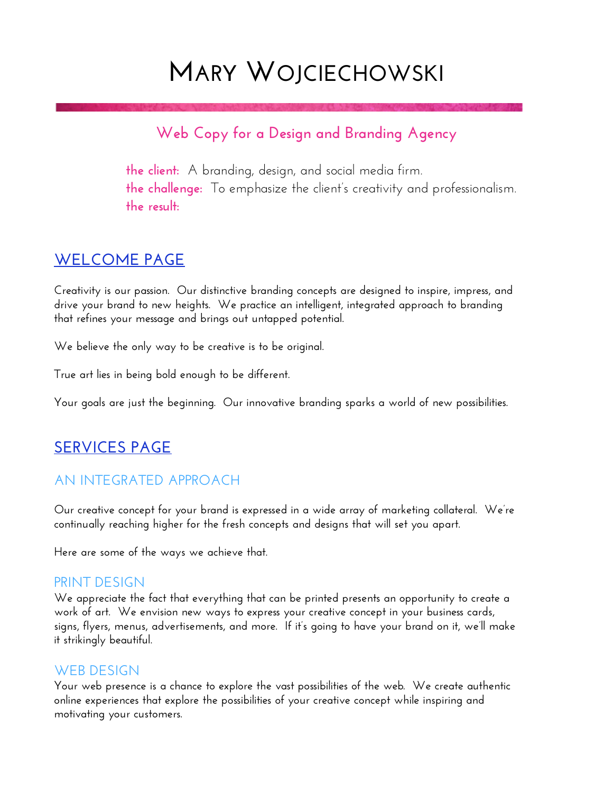# **MARY WOJCIECHOWSKI**

# **Web Copy for a Design and Branding Agency**

**the client:** A branding, design, and social media firm. **the challenge:** To emphasize the client's creativity and professionalism. **the result:** 

# **WELCOME PAGE**

**Creativity is our passion. Our distinctive branding concepts are designed to inspire, impress, and drive your brand to new heights. We practice an intelligent, integrated approach to branding that refines your message and brings out untapped potential.** 

**We believe the only way to be creative is to be original.** 

**True art lies in being bold enough to be different.** 

**Your goals are just the beginning. Our innovative branding sparks a world of new possibilities.** 

# **SERVICES PAGE**

## **AN INTEGRATED APPROACH**

**Our creative concept for your brand is expressed in a wide array of marketing collateral. We're continually reaching higher for the fresh concepts and designs that will set you apart.** 

**Here are some of the ways we achieve that.** 

#### **PRINT DESIGN**

**We appreciate the fact that everything that can be printed presents an opportunity to create a work of art. We envision new ways to express your creative concept in your business cards, signs, flyers, menus, advertisements, and more. If it's going to have your brand on it, we'll make it strikingly beautiful.** 

#### **WEB DESIGN**

**Your web presence is a chance to explore the vast possibilities of the web. We create authentic online experiences that explore the possibilities of your creative concept while inspiring and motivating your customers.**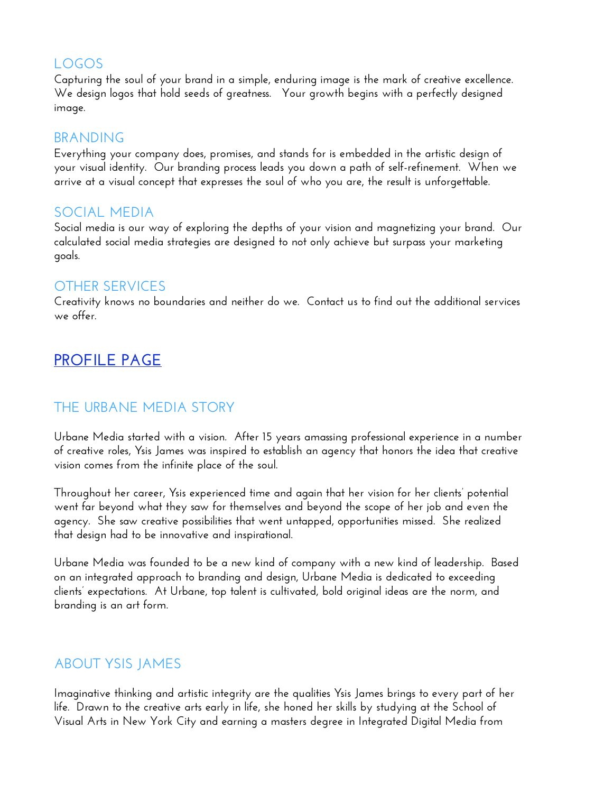## **LOGOS**

**Capturing the soul of your brand in a simple, enduring image is the mark of creative excellence. We design logos that hold seeds of greatness. Your growth begins with a perfectly designed image.** 

#### **BRANDING**

**Everything your company does, promises, and stands for is embedded in the artistic design of your visual identity. Our branding process leads you down a path of self-refinement. When we arrive at a visual concept that expresses the soul of who you are, the result is unforgettable.** 

#### **SOCIAL MEDIA**

**Social media is our way of exploring the depths of your vision and magnetizing your brand. Our calculated social media strategies are designed to not only achieve but surpass your marketing goals.** 

#### **OTHER SERVICES**

**Creativity knows no boundaries and neither do we. Contact us to find out the additional services we offer.** 

# **PROFILE PAGE**

## **THE URBANE MEDIA STORY**

**Urbane Media started with a vision. After 15 years amassing professional experience in a number of creative roles, Ysis James was inspired to establish an agency that honors the idea that creative vision comes from the infinite place of the soul.** 

**Throughout her career, Ysis experienced time and again that her vision for her clients' potential went far beyond what they saw for themselves and beyond the scope of her job and even the agency. She saw creative possibilities that went untapped, opportunities missed. She realized that design had to be innovative and inspirational.** 

**Urbane Media was founded to be a new kind of company with a new kind of leadership. Based on an integrated approach to branding and design, Urbane Media is dedicated to exceeding clients' expectations. At Urbane, top talent is cultivated, bold original ideas are the norm, and branding is an art form.** 

## **ABOUT YSIS JAMES**

**Imaginative thinking and artistic integrity are the qualities Ysis James brings to every part of her life. Drawn to the creative arts early in life, she honed her skills by studying at the School of Visual Arts in New York City and earning a masters degree in Integrated Digital Media from**